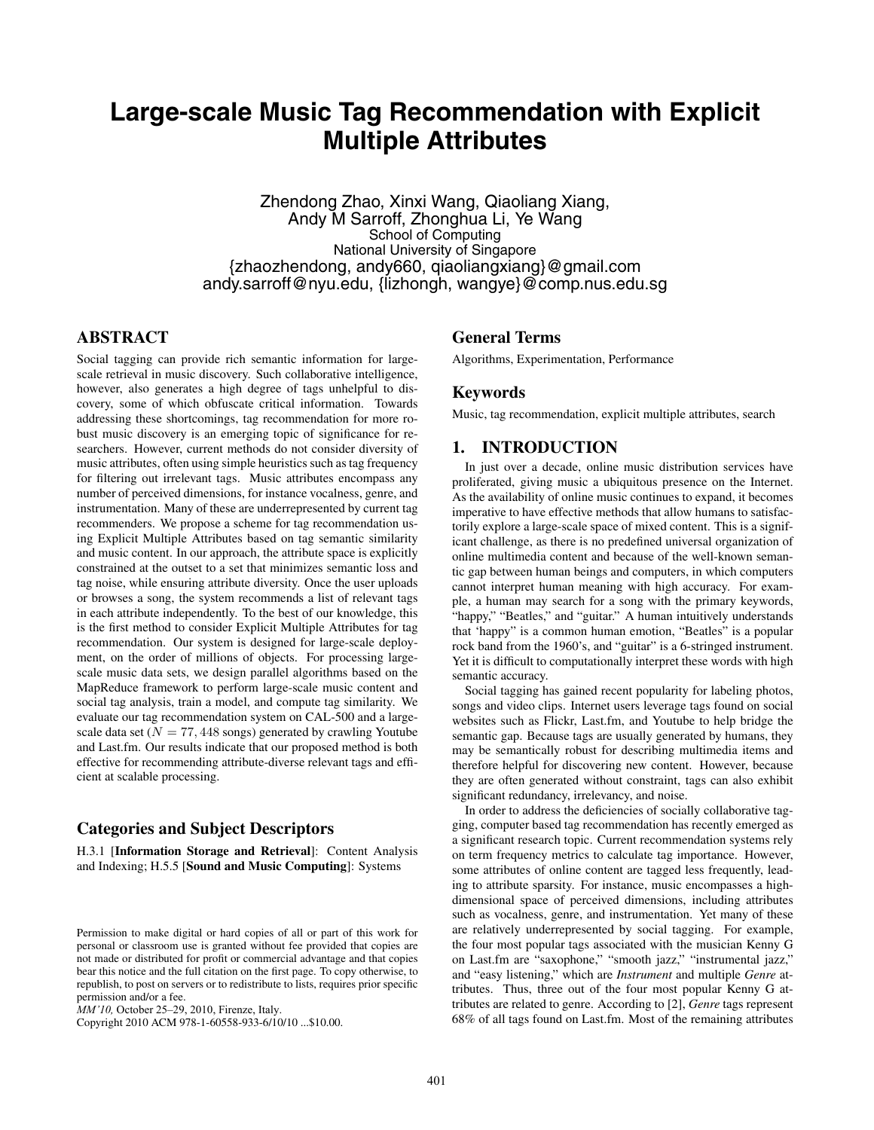# **Large-scale Music Tag Recommendation with Explicit Multiple Attributes**

Zhendong Zhao, Xinxi Wang, Qiaoliang Xiang, Andy M Sarroff, Zhonghua Li, Ye Wang School of Computing National University of Singapore {zhaozhendong, andy660, qiaoliangxiang}@gmail.com andy.sarroff@nyu.edu, {lizhongh, wangye}@comp.nus.edu.sg

# **ABSTRACT**

Social tagging can provide rich semantic information for largescale retrieval in music discovery. Such collaborative intelligence, however, also generates a high degree of tags unhelpful to discovery, some of which obfuscate critical information. Towards addressing these shortcomings, tag recommendation for more robust music discovery is an emerging topic of significance for researchers. However, current methods do not consider diversity of music attributes, often using simple heuristics such as tag frequency for filtering out irrelevant tags. Music attributes encompass any number of perceived dimensions, for instance vocalness, genre, and instrumentation. Many of these are underrepresented by current tag recommenders. We propose a scheme for tag recommendation using Explicit Multiple Attributes based on tag semantic similarity and music content. In our approach, the attribute space is explicitly constrained at the outset to a set that minimizes semantic loss and tag noise, while ensuring attribute diversity. Once the user uploads or browses a song, the system recommends a list of relevant tags in each attribute independently. To the best of our knowledge, this is the first method to consider Explicit Multiple Attributes for tag recommendation. Our system is designed for large-scale deployment, on the order of millions of objects. For processing largescale music data sets, we design parallel algorithms based on the MapReduce framework to perform large-scale music content and social tag analysis, train a model, and compute tag similarity. We evaluate our tag recommendation system on CAL-500 and a largescale data set ( $N = 77,448$  songs) generated by crawling Youtube and Last.fm. Our results indicate that our proposed method is both effective for recommending attribute-diverse relevant tags and efficient at scalable processing.

# **Categories and Subject Descriptors**

H.3.1 [**Information Storage and Retrieval**]: Content Analysis and Indexing; H.5.5 [**Sound and Music Computing**]: Systems

Copyright 2010 ACM 978-1-60558-933-6/10/10 ...\$10.00.

# **General Terms**

Algorithms, Experimentation, Performance

#### **Keywords**

Music, tag recommendation, explicit multiple attributes, search

# **1. INTRODUCTION**

In just over a decade, online music distribution services have proliferated, giving music a ubiquitous presence on the Internet. As the availability of online music continues to expand, it becomes imperative to have effective methods that allow humans to satisfactorily explore a large-scale space of mixed content. This is a significant challenge, as there is no predefined universal organization of online multimedia content and because of the well-known semantic gap between human beings and computers, in which computers cannot interpret human meaning with high accuracy. For example, a human may search for a song with the primary keywords, "happy," "Beatles," and "guitar." A human intuitively understands that 'happy" is a common human emotion, "Beatles" is a popular rock band from the 1960's, and "guitar" is a 6-stringed instrument. Yet it is difficult to computationally interpret these words with high semantic accuracy.

Social tagging has gained recent popularity for labeling photos, songs and video clips. Internet users leverage tags found on social websites such as Flickr, Last.fm, and Youtube to help bridge the semantic gap. Because tags are usually generated by humans, they may be semantically robust for describing multimedia items and therefore helpful for discovering new content. However, because they are often generated without constraint, tags can also exhibit significant redundancy, irrelevancy, and noise.

In order to address the deficiencies of socially collaborative tagging, computer based tag recommendation has recently emerged as a significant research topic. Current recommendation systems rely on term frequency metrics to calculate tag importance. However, some attributes of online content are tagged less frequently, leading to attribute sparsity. For instance, music encompasses a highdimensional space of perceived dimensions, including attributes such as vocalness, genre, and instrumentation. Yet many of these are relatively underrepresented by social tagging. For example, the four most popular tags associated with the musician Kenny G on Last.fm are "saxophone," "smooth jazz," "instrumental jazz," and "easy listening," which are *Instrument* and multiple *Genre* attributes. Thus, three out of the four most popular Kenny G attributes are related to genre. According to [2], *Genre* tags represent 68% of all tags found on Last.fm. Most of the remaining attributes

Permission to make digital or hard copies of all or part of this work for personal or classroom use is granted without fee provided that copies are not made or distributed for profit or commercial advantage and that copies bear this notice and the full citation on the first page. To copy otherwise, to republish, to post on servers or to redistribute to lists, requires prior specific permission and/or a fee.

*MM'10,* October 25–29, 2010, Firenze, Italy.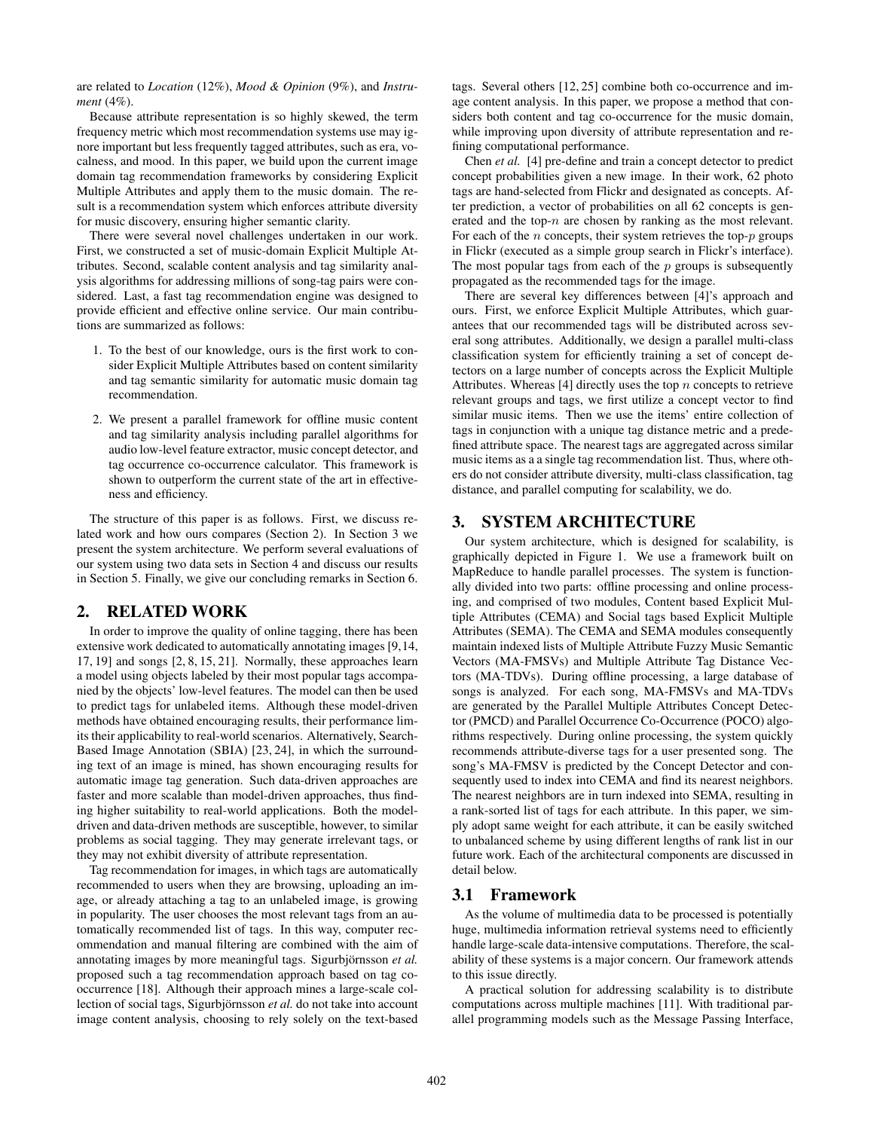are related to *Location* (12%), *Mood & Opinion* (9%), and *Instrument* (4%).

Because attribute representation is so highly skewed, the term frequency metric which most recommendation systems use may ignore important but less frequently tagged attributes, such as era, vocalness, and mood. In this paper, we build upon the current image domain tag recommendation frameworks by considering Explicit Multiple Attributes and apply them to the music domain. The result is a recommendation system which enforces attribute diversity for music discovery, ensuring higher semantic clarity.

There were several novel challenges undertaken in our work. First, we constructed a set of music-domain Explicit Multiple Attributes. Second, scalable content analysis and tag similarity analysis algorithms for addressing millions of song-tag pairs were considered. Last, a fast tag recommendation engine was designed to provide efficient and effective online service. Our main contributions are summarized as follows:

- 1. To the best of our knowledge, ours is the first work to consider Explicit Multiple Attributes based on content similarity and tag semantic similarity for automatic music domain tag recommendation.
- 2. We present a parallel framework for offline music content and tag similarity analysis including parallel algorithms for audio low-level feature extractor, music concept detector, and tag occurrence co-occurrence calculator. This framework is shown to outperform the current state of the art in effectiveness and efficiency.

The structure of this paper is as follows. First, we discuss related work and how ours compares (Section 2). In Section 3 we present the system architecture. We perform several evaluations of our system using two data sets in Section 4 and discuss our results in Section 5. Finally, we give our concluding remarks in Section 6.

# **2. RELATED WORK**

In order to improve the quality of online tagging, there has been extensive work dedicated to automatically annotating images [9,14, 17, 19] and songs [2, 8, 15, 21]. Normally, these approaches learn a model using objects labeled by their most popular tags accompanied by the objects' low-level features. The model can then be used to predict tags for unlabeled items. Although these model-driven methods have obtained encouraging results, their performance limits their applicability to real-world scenarios. Alternatively, Search-Based Image Annotation (SBIA) [23, 24], in which the surrounding text of an image is mined, has shown encouraging results for automatic image tag generation. Such data-driven approaches are faster and more scalable than model-driven approaches, thus finding higher suitability to real-world applications. Both the modeldriven and data-driven methods are susceptible, however, to similar problems as social tagging. They may generate irrelevant tags, or they may not exhibit diversity of attribute representation.

Tag recommendation for images, in which tags are automatically recommended to users when they are browsing, uploading an image, or already attaching a tag to an unlabeled image, is growing in popularity. The user chooses the most relevant tags from an automatically recommended list of tags. In this way, computer recommendation and manual filtering are combined with the aim of annotating images by more meaningful tags. Sigurbjörnsson *et al.* proposed such a tag recommendation approach based on tag cooccurrence [18]. Although their approach mines a large-scale collection of social tags, Sigurbjörnsson *et al.* do not take into account image content analysis, choosing to rely solely on the text-based tags. Several others [12, 25] combine both co-occurrence and image content analysis. In this paper, we propose a method that considers both content and tag co-occurrence for the music domain, while improving upon diversity of attribute representation and refining computational performance.

Chen *et al.* [4] pre-define and train a concept detector to predict concept probabilities given a new image. In their work, 62 photo tags are hand-selected from Flickr and designated as concepts. After prediction, a vector of probabilities on all 62 concepts is generated and the top- $n$  are chosen by ranking as the most relevant. For each of the  $n$  concepts, their system retrieves the top- $p$  groups in Flickr (executed as a simple group search in Flickr's interface). The most popular tags from each of the  $p$  groups is subsequently propagated as the recommended tags for the image.

There are several key differences between [4]'s approach and ours. First, we enforce Explicit Multiple Attributes, which guarantees that our recommended tags will be distributed across several song attributes. Additionally, we design a parallel multi-class classification system for efficiently training a set of concept detectors on a large number of concepts across the Explicit Multiple Attributes. Whereas [4] directly uses the top  $n$  concepts to retrieve relevant groups and tags, we first utilize a concept vector to find similar music items. Then we use the items' entire collection of tags in conjunction with a unique tag distance metric and a predefined attribute space. The nearest tags are aggregated across similar music items as a a single tag recommendation list. Thus, where others do not consider attribute diversity, multi-class classification, tag distance, and parallel computing for scalability, we do.

# **3. SYSTEM ARCHITECTURE**

Our system architecture, which is designed for scalability, is graphically depicted in Figure 1. We use a framework built on MapReduce to handle parallel processes. The system is functionally divided into two parts: offline processing and online processing, and comprised of two modules, Content based Explicit Multiple Attributes (CEMA) and Social tags based Explicit Multiple Attributes (SEMA). The CEMA and SEMA modules consequently maintain indexed lists of Multiple Attribute Fuzzy Music Semantic Vectors (MA-FMSVs) and Multiple Attribute Tag Distance Vectors (MA-TDVs). During offline processing, a large database of songs is analyzed. For each song, MA-FMSVs and MA-TDVs are generated by the Parallel Multiple Attributes Concept Detector (PMCD) and Parallel Occurrence Co-Occurrence (POCO) algorithms respectively. During online processing, the system quickly recommends attribute-diverse tags for a user presented song. The song's MA-FMSV is predicted by the Concept Detector and consequently used to index into CEMA and find its nearest neighbors. The nearest neighbors are in turn indexed into SEMA, resulting in a rank-sorted list of tags for each attribute. In this paper, we simply adopt same weight for each attribute, it can be easily switched to unbalanced scheme by using different lengths of rank list in our future work. Each of the architectural components are discussed in detail below.

# **3.1 Framework**

As the volume of multimedia data to be processed is potentially huge, multimedia information retrieval systems need to efficiently handle large-scale data-intensive computations. Therefore, the scalability of these systems is a major concern. Our framework attends to this issue directly.

A practical solution for addressing scalability is to distribute computations across multiple machines [11]. With traditional parallel programming models such as the Message Passing Interface,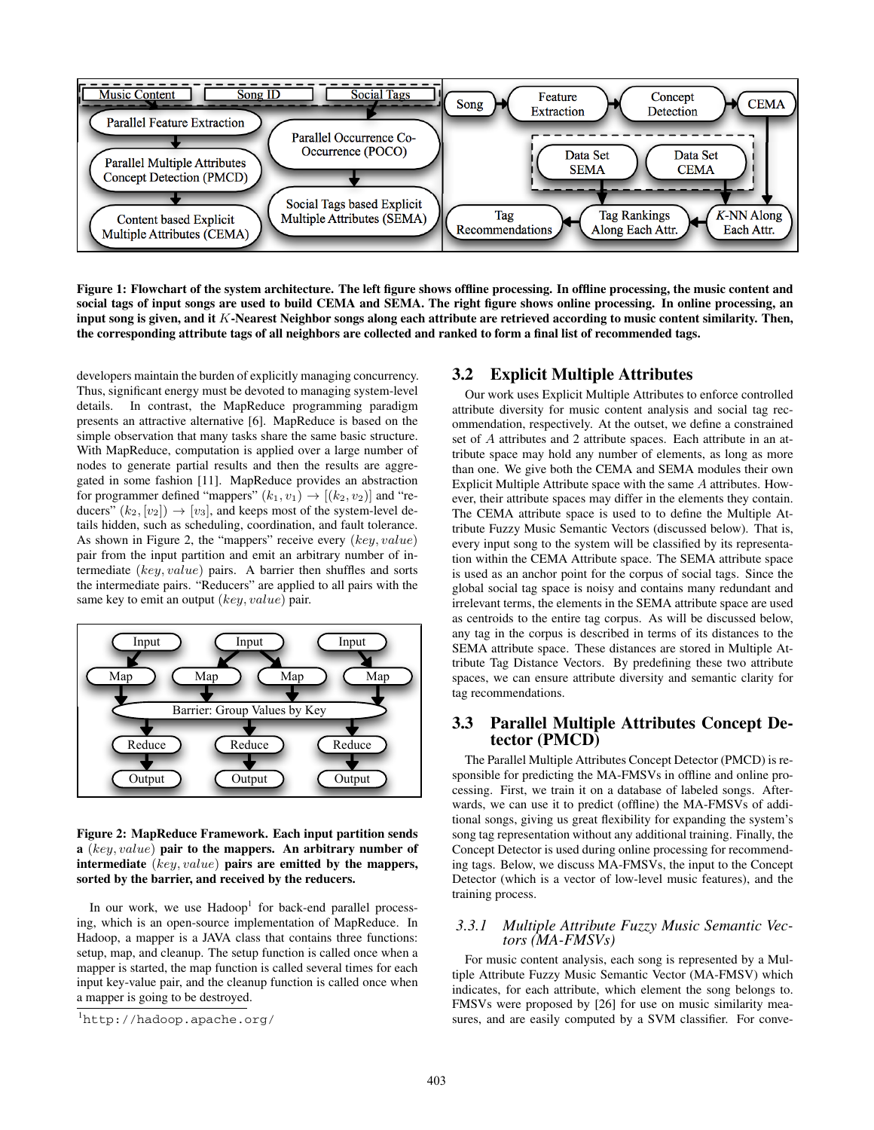

**Figure 1: Flowchart of the system architecture. The left figure shows offline processing. In offline processing, the music content and social tags of input songs are used to build CEMA and SEMA. The right figure shows online processing. In online processing, an input song is given, and it** K**-Nearest Neighbor songs along each attribute are retrieved according to music content similarity. Then, the corresponding attribute tags of all neighbors are collected and ranked to form a final list of recommended tags.**

developers maintain the burden of explicitly managing concurrency. Thus, significant energy must be devoted to managing system-level details. In contrast, the MapReduce programming paradigm presents an attractive alternative [6]. MapReduce is based on the simple observation that many tasks share the same basic structure. With MapReduce, computation is applied over a large number of nodes to generate partial results and then the results are aggregated in some fashion [11]. MapReduce provides an abstraction for programmer defined "mappers"  $(k_1, v_1) \rightarrow [(k_2, v_2)]$  and "reducers"  $(k_2, [v_2]) \rightarrow [v_3]$ , and keeps most of the system-level details hidden, such as scheduling, coordination, and fault tolerance. As shown in Figure 2, the "mappers" receive every (key, value) pair from the input partition and emit an arbitrary number of intermediate (key, value) pairs. A barrier then shuffles and sorts the intermediate pairs. "Reducers" are applied to all pairs with the same key to emit an output  $(key, value)$  pair.



#### **Figure 2: MapReduce Framework. Each input partition sends a** (key, value) **pair to the mappers. An arbitrary number of intermediate** (key, value) **pairs are emitted by the mappers, sorted by the barrier, and received by the reducers.**

In our work, we use  $Hadoop<sup>1</sup>$  for back-end parallel processing, which is an open-source implementation of MapReduce. In Hadoop, a mapper is a JAVA class that contains three functions: setup, map, and cleanup. The setup function is called once when a mapper is started, the map function is called several times for each input key-value pair, and the cleanup function is called once when a mapper is going to be destroyed.

# **3.2 Explicit Multiple Attributes**

Our work uses Explicit Multiple Attributes to enforce controlled attribute diversity for music content analysis and social tag recommendation, respectively. At the outset, we define a constrained set of A attributes and 2 attribute spaces. Each attribute in an attribute space may hold any number of elements, as long as more than one. We give both the CEMA and SEMA modules their own Explicit Multiple Attribute space with the same A attributes. However, their attribute spaces may differ in the elements they contain. The CEMA attribute space is used to to define the Multiple Attribute Fuzzy Music Semantic Vectors (discussed below). That is, every input song to the system will be classified by its representation within the CEMA Attribute space. The SEMA attribute space is used as an anchor point for the corpus of social tags. Since the global social tag space is noisy and contains many redundant and irrelevant terms, the elements in the SEMA attribute space are used as centroids to the entire tag corpus. As will be discussed below, any tag in the corpus is described in terms of its distances to the SEMA attribute space. These distances are stored in Multiple Attribute Tag Distance Vectors. By predefining these two attribute spaces, we can ensure attribute diversity and semantic clarity for tag recommendations.

# **3.3 Parallel Multiple Attributes Concept Detector (PMCD)**

The Parallel Multiple Attributes Concept Detector (PMCD) is responsible for predicting the MA-FMSVs in offline and online processing. First, we train it on a database of labeled songs. Afterwards, we can use it to predict (offline) the MA-FMSVs of additional songs, giving us great flexibility for expanding the system's song tag representation without any additional training. Finally, the Concept Detector is used during online processing for recommending tags. Below, we discuss MA-FMSVs, the input to the Concept Detector (which is a vector of low-level music features), and the training process.

#### *3.3.1 Multiple Attribute Fuzzy Music Semantic Vectors (MA-FMSVs)*

For music content analysis, each song is represented by a Multiple Attribute Fuzzy Music Semantic Vector (MA-FMSV) which indicates, for each attribute, which element the song belongs to. FMSVs were proposed by [26] for use on music similarity measures, and are easily computed by a SVM classifier. For conve-

<sup>1</sup> http://hadoop.apache.org/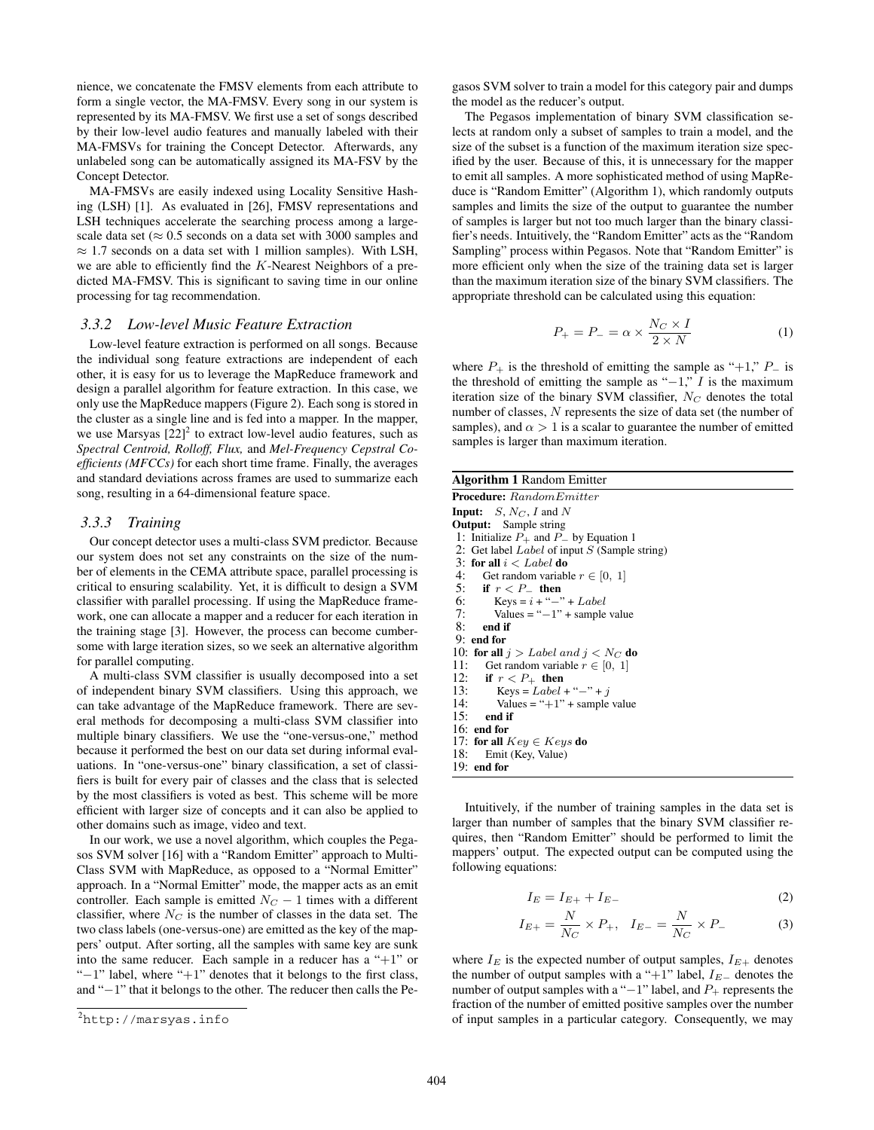nience, we concatenate the FMSV elements from each attribute to form a single vector, the MA-FMSV. Every song in our system is represented by its MA-FMSV. We first use a set of songs described by their low-level audio features and manually labeled with their MA-FMSVs for training the Concept Detector. Afterwards, any unlabeled song can be automatically assigned its MA-FSV by the Concept Detector.

MA-FMSVs are easily indexed using Locality Sensitive Hashing (LSH) [1]. As evaluated in [26], FMSV representations and LSH techniques accelerate the searching process among a largescale data set ( $\approx 0.5$  seconds on a data set with 3000 samples and  $\approx$  1.7 seconds on a data set with 1 million samples). With LSH, we are able to efficiently find the K-Nearest Neighbors of a predicted MA-FMSV. This is significant to saving time in our online processing for tag recommendation.

#### *3.3.2 Low-level Music Feature Extraction*

Low-level feature extraction is performed on all songs. Because the individual song feature extractions are independent of each other, it is easy for us to leverage the MapReduce framework and design a parallel algorithm for feature extraction. In this case, we only use the MapReduce mappers (Figure 2). Each song is stored in the cluster as a single line and is fed into a mapper. In the mapper, we use Marsyas  $[22]^2$  to extract low-level audio features, such as *Spectral Centroid, Rolloff, Flux,* and *Mel-Frequency Cepstral Coefficients (MFCCs)* for each short time frame. Finally, the averages and standard deviations across frames are used to summarize each song, resulting in a 64-dimensional feature space.

#### *3.3.3 Training*

Our concept detector uses a multi-class SVM predictor. Because our system does not set any constraints on the size of the number of elements in the CEMA attribute space, parallel processing is critical to ensuring scalability. Yet, it is difficult to design a SVM classifier with parallel processing. If using the MapReduce framework, one can allocate a mapper and a reducer for each iteration in the training stage [3]. However, the process can become cumbersome with large iteration sizes, so we seek an alternative algorithm for parallel computing.

A multi-class SVM classifier is usually decomposed into a set of independent binary SVM classifiers. Using this approach, we can take advantage of the MapReduce framework. There are several methods for decomposing a multi-class SVM classifier into multiple binary classifiers. We use the "one-versus-one," method because it performed the best on our data set during informal evaluations. In "one-versus-one" binary classification, a set of classifiers is built for every pair of classes and the class that is selected by the most classifiers is voted as best. This scheme will be more efficient with larger size of concepts and it can also be applied to other domains such as image, video and text.

In our work, we use a novel algorithm, which couples the Pegasos SVM solver [16] with a "Random Emitter" approach to Multi-Class SVM with MapReduce, as opposed to a "Normal Emitter" approach. In a "Normal Emitter" mode, the mapper acts as an emit controller. Each sample is emitted  $N_C - 1$  times with a different classifier, where  $N_C$  is the number of classes in the data set. The two class labels (one-versus-one) are emitted as the key of the mappers' output. After sorting, all the samples with same key are sunk into the same reducer. Each sample in a reducer has a " $+1$ " or " $-1$ " label, where " $+1$ " denotes that it belongs to the first class, and "−1" that it belongs to the other. The reducer then calls the Pegasos SVM solver to train a model for this category pair and dumps the model as the reducer's output.

The Pegasos implementation of binary SVM classification selects at random only a subset of samples to train a model, and the size of the subset is a function of the maximum iteration size specified by the user. Because of this, it is unnecessary for the mapper to emit all samples. A more sophisticated method of using MapReduce is "Random Emitter" (Algorithm 1), which randomly outputs samples and limits the size of the output to guarantee the number of samples is larger but not too much larger than the binary classifier's needs. Intuitively, the "Random Emitter" acts as the "Random Sampling" process within Pegasos. Note that "Random Emitter" is more efficient only when the size of the training data set is larger than the maximum iteration size of the binary SVM classifiers. The appropriate threshold can be calculated using this equation:

$$
P_{+} = P_{-} = \alpha \times \frac{N_C \times I}{2 \times N}
$$
 (1)

where  $P_+$  is the threshold of emitting the sample as "+1,"  $P_-$  is the threshold of emitting the sample as " $-1$ ," I is the maximum iteration size of the binary SVM classifier,  $N_C$  denotes the total number of classes, N represents the size of data set (the number of samples), and  $\alpha > 1$  is a scalar to guarantee the number of emitted samples is larger than maximum iteration.

| <b>Algorithm 1 Random Emitter</b>                      |
|--------------------------------------------------------|
| <b>Procedure:</b> Random Emitter                       |
| <b>Input:</b> $S, N_C, I$ and N                        |
| <b>Output:</b> Sample string                           |
| 1: Initialize $P_+$ and $P_-$ by Equation 1            |
| 2: Get label <i>Label</i> of input $S$ (Sample string) |
| 3: for all $i < Label$ do                              |
| 4: Get random variable $r \in [0, 1]$                  |
| 5: if $r < P_+$ then                                   |
| 6: Keys = $i +$ "-" + Label                            |
| 7: Values = " $-1$ " + sample value                    |
| $8:$ end if                                            |
| $9:$ end for                                           |
| 10: for all $j > Label$ and $j < N_C$ do               |
| 11: Get random variable $r \in [0, 1]$                 |
| 12: if $r < P_+$ then                                  |
| 13: Keys = Label + "-" + j                             |
| 14: Values = " $+1$ " + sample value                   |
| $15:$ end if                                           |
| $16:$ end for                                          |
| 17: for all $Key \in Keys$ do                          |
| 18: Emit (Key, Value)                                  |
| $19:$ end for                                          |

Intuitively, if the number of training samples in the data set is larger than number of samples that the binary SVM classifier requires, then "Random Emitter" should be performed to limit the mappers' output. The expected output can be computed using the following equations:

$$
I_E = I_{E+} + I_{E-} \tag{2}
$$

$$
I_{E+} = \frac{N}{N_C} \times P_+, \quad I_{E-} = \frac{N}{N_C} \times P_- \tag{3}
$$

where  $I_E$  is the expected number of output samples,  $I_{E+}$  denotes the number of output samples with a "+1" label,  $I_{E-}$  denotes the number of output samples with a "−1" label, and  $P_+$  represents the fraction of the number of emitted positive samples over the number of input samples in a particular category. Consequently, we may

<sup>&</sup>lt;sup>2</sup>http://marsyas.info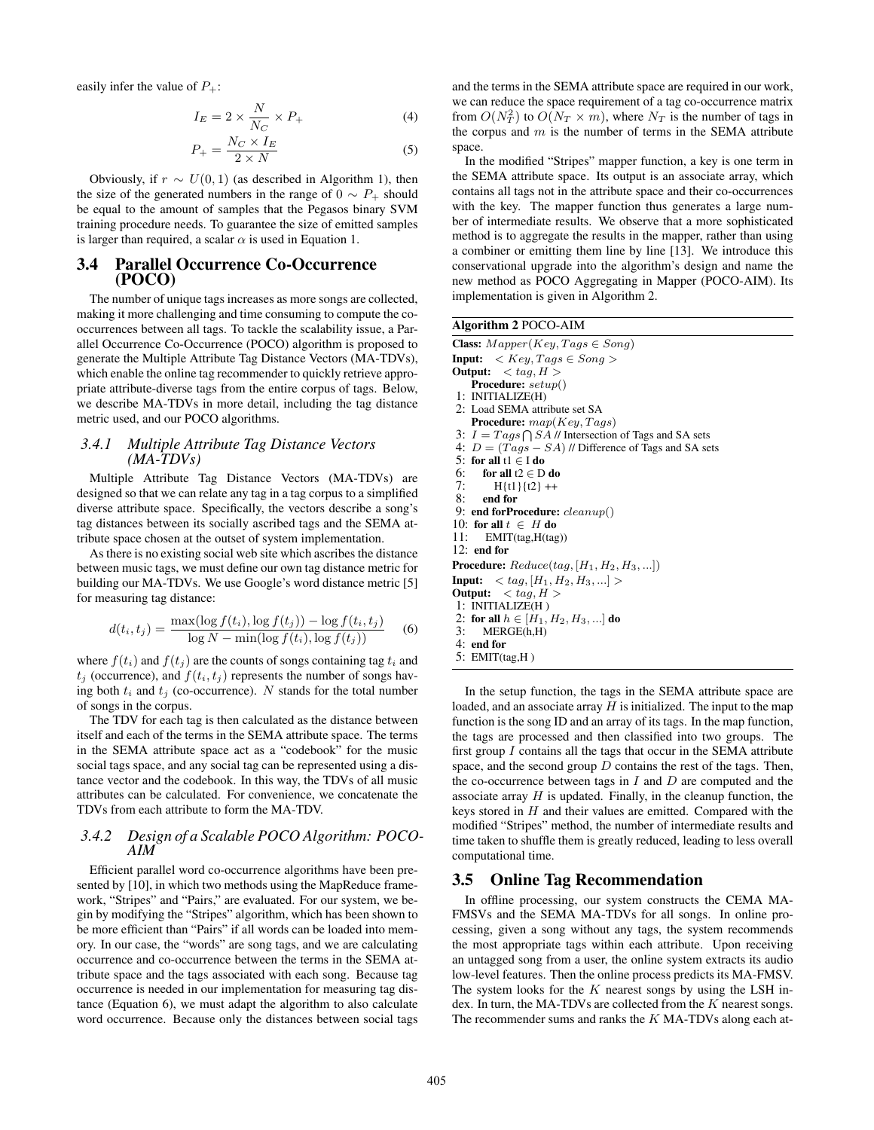easily infer the value of  $P_+$ :

$$
I_E = 2 \times \frac{N}{N_C} \times P_+ \tag{4}
$$

$$
P_{+} = \frac{N_C \times I_E}{2 \times N} \tag{5}
$$

Obviously, if  $r \sim U(0, 1)$  (as described in Algorithm 1), then the size of the generated numbers in the range of  $0 \sim P_+$  should be equal to the amount of samples that the Pegasos binary SVM training procedure needs. To guarantee the size of emitted samples is larger than required, a scalar  $\alpha$  is used in Equation 1.

#### **3.4 Parallel Occurrence Co-Occurrence (POCO)**

The number of unique tags increases as more songs are collected, making it more challenging and time consuming to compute the cooccurrences between all tags. To tackle the scalability issue, a Parallel Occurrence Co-Occurrence (POCO) algorithm is proposed to generate the Multiple Attribute Tag Distance Vectors (MA-TDVs), which enable the online tag recommender to quickly retrieve appropriate attribute-diverse tags from the entire corpus of tags. Below, we describe MA-TDVs in more detail, including the tag distance metric used, and our POCO algorithms.

#### *3.4.1 Multiple Attribute Tag Distance Vectors (MA-TDVs)*

Multiple Attribute Tag Distance Vectors (MA-TDVs) are designed so that we can relate any tag in a tag corpus to a simplified diverse attribute space. Specifically, the vectors describe a song's tag distances between its socially ascribed tags and the SEMA attribute space chosen at the outset of system implementation.

As there is no existing social web site which ascribes the distance between music tags, we must define our own tag distance metric for building our MA-TDVs. We use Google's word distance metric [5] for measuring tag distance:

$$
d(t_i, t_j) = \frac{\max(\log f(t_i), \log f(t_j)) - \log f(t_i, t_j)}{\log N - \min(\log f(t_i), \log f(t_j))}
$$
 (6)

where  $f(t_i)$  and  $f(t_j)$  are the counts of songs containing tag  $t_i$  and  $t_j$  (occurrence), and  $f(t_i, t_j)$  represents the number of songs having both  $t_i$  and  $t_j$  (co-occurrence). N stands for the total number of songs in the corpus.

The TDV for each tag is then calculated as the distance between itself and each of the terms in the SEMA attribute space. The terms in the SEMA attribute space act as a "codebook" for the music social tags space, and any social tag can be represented using a distance vector and the codebook. In this way, the TDVs of all music attributes can be calculated. For convenience, we concatenate the TDVs from each attribute to form the MA-TDV.

# *3.4.2 Design of a Scalable POCO Algorithm: POCO-AIM*

Efficient parallel word co-occurrence algorithms have been presented by [10], in which two methods using the MapReduce framework, "Stripes" and "Pairs," are evaluated. For our system, we begin by modifying the "Stripes" algorithm, which has been shown to be more efficient than "Pairs" if all words can be loaded into memory. In our case, the "words" are song tags, and we are calculating occurrence and co-occurrence between the terms in the SEMA attribute space and the tags associated with each song. Because tag occurrence is needed in our implementation for measuring tag distance (Equation 6), we must adapt the algorithm to also calculate word occurrence. Because only the distances between social tags and the terms in the SEMA attribute space are required in our work, we can reduce the space requirement of a tag co-occurrence matrix from  $O(N_T^2)$  to  $O(N_T \times m)$ , where  $N_T$  is the number of tags in the corpus and  $m$  is the number of terms in the SEMA attribute space.

In the modified "Stripes" mapper function, a key is one term in the SEMA attribute space. Its output is an associate array, which contains all tags not in the attribute space and their co-occurrences with the key. The mapper function thus generates a large number of intermediate results. We observe that a more sophisticated method is to aggregate the results in the mapper, rather than using a combiner or emitting them line by line [13]. We introduce this conservational upgrade into the algorithm's design and name the new method as POCO Aggregating in Mapper (POCO-AIM). Its implementation is given in Algorithm 2.

**Algorithm 2** POCO-AIM

| <b>Class:</b> $Mapper(Key, Tags \in Song)$                   |
|--------------------------------------------------------------|
| <b>Input:</b> $\langle Key, Tags \in Song \rangle$           |
| Output: $\langle tag, H \rangle$                             |
| <b>Procedure:</b> $setup()$                                  |
| 1: INTIALIZE(H)                                              |
| 2: Load SEMA attribute set SA                                |
| <b>Procedure:</b> $map(Key, Tags)$                           |
| 3: $I = Tags \bigcap SA$ // Intersection of Tags and SA sets |
| 4: $D = (Tags - SA)$ // Difference of Tags and SA sets       |
| 5: for all $t1 \in I$ do                                     |
| 6: for all $t2 \in D$ do                                     |
| 7: $H{t1}{t2}$ ++                                            |
| 8: end for                                                   |
| 9: end forProcedure: $cleanup()$                             |
| 10: for all $t \in H$ do                                     |
| 11: $EMIT(tag, H(tag))$                                      |
| $12:$ end for                                                |
| <b>Procedure:</b> $Reduce(tag,  H_1, H_2, H_3,  )$           |
| <b>Input:</b> $\langle tag,  H_1, H_2, H_3,  \rangle$        |
| <b>Output:</b> $\langle tag, H \rangle$                      |
| l: INTIALIZE(H)                                              |
| 2: for all $h \in [H_1, H_2, H_3, ]$ do                      |
| MERGE(h,H)<br>3:                                             |
| $4:$ end for                                                 |
| 5: $EMIT(tag, H)$                                            |
|                                                              |

In the setup function, the tags in the SEMA attribute space are loaded, and an associate array  $H$  is initialized. The input to the map function is the song ID and an array of its tags. In the map function, the tags are processed and then classified into two groups. The first group  $I$  contains all the tags that occur in the SEMA attribute space, and the second group  $D$  contains the rest of the tags. Then, the co-occurrence between tags in  $I$  and  $D$  are computed and the associate array  $H$  is updated. Finally, in the cleanup function, the keys stored in  $H$  and their values are emitted. Compared with the modified "Stripes" method, the number of intermediate results and time taken to shuffle them is greatly reduced, leading to less overall computational time.

# **3.5 Online Tag Recommendation**

In offline processing, our system constructs the CEMA MA-FMSVs and the SEMA MA-TDVs for all songs. In online processing, given a song without any tags, the system recommends the most appropriate tags within each attribute. Upon receiving an untagged song from a user, the online system extracts its audio low-level features. Then the online process predicts its MA-FMSV. The system looks for the  $K$  nearest songs by using the LSH index. In turn, the MA-TDVs are collected from the  $K$  nearest songs. The recommender sums and ranks the  $K$  MA-TDVs along each at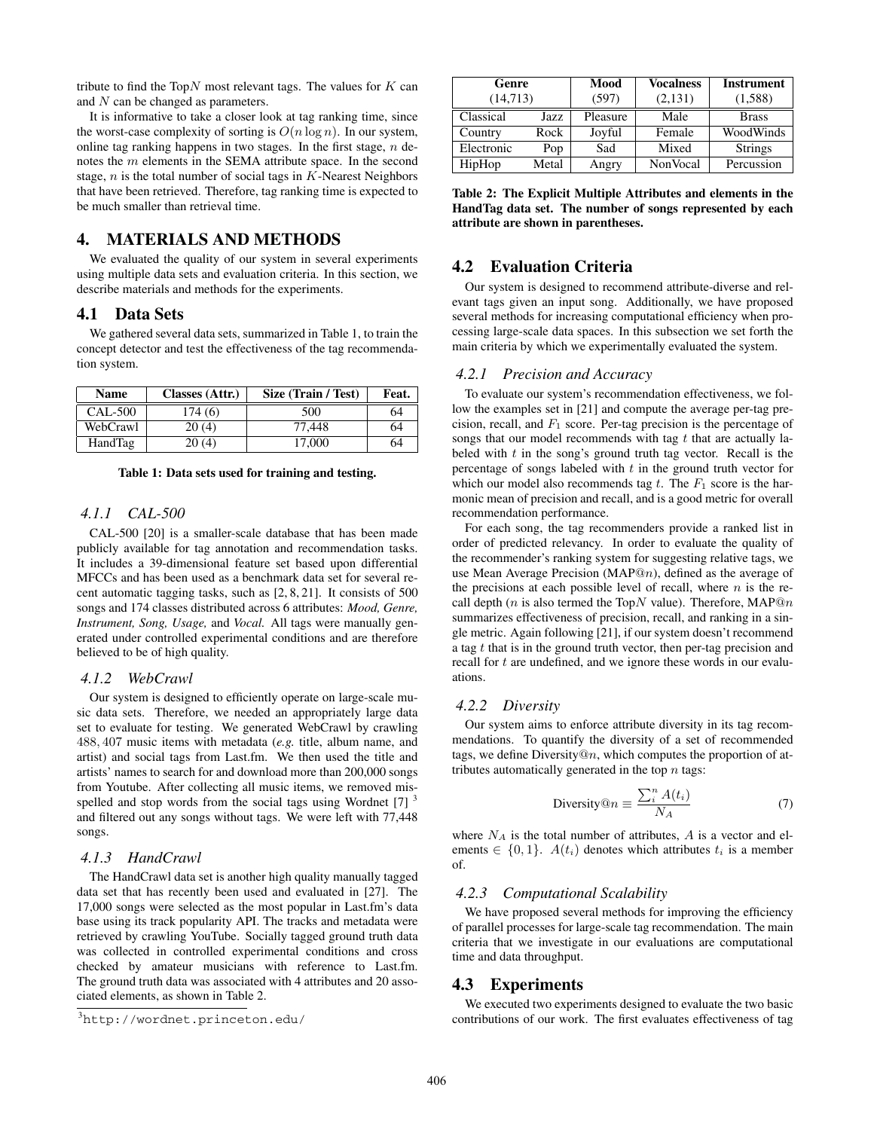tribute to find the Top $N$  most relevant tags. The values for  $K$  can and N can be changed as parameters.

It is informative to take a closer look at tag ranking time, since the worst-case complexity of sorting is  $O(n \log n)$ . In our system, online tag ranking happens in two stages. In the first stage,  $n$  denotes the m elements in the SEMA attribute space. In the second stage,  $n$  is the total number of social tags in  $K$ -Nearest Neighbors that have been retrieved. Therefore, tag ranking time is expected to be much smaller than retrieval time.

# **4. MATERIALS AND METHODS**

We evaluated the quality of our system in several experiments using multiple data sets and evaluation criteria. In this section, we describe materials and methods for the experiments.

# **4.1 Data Sets**

We gathered several data sets, summarized in Table 1, to train the concept detector and test the effectiveness of the tag recommendation system.

| <b>Name</b> | Classes (Attr.) | Size (Train / Test) | Feat. |
|-------------|-----------------|---------------------|-------|
| CAL-500     | 174 (6)         | 500                 | 64    |
| WebCrawl    | 20(4)           | 77.448              | 64    |
| HandTag     | 20(4)           | 17.000              | 64    |

**Table 1: Data sets used for training and testing.**

# *4.1.1 CAL-500*

CAL-500 [20] is a smaller-scale database that has been made publicly available for tag annotation and recommendation tasks. It includes a 39-dimensional feature set based upon differential MFCCs and has been used as a benchmark data set for several recent automatic tagging tasks, such as [2, 8, 21]. It consists of 500 songs and 174 classes distributed across 6 attributes: *Mood, Genre, Instrument, Song, Usage,* and *Vocal.* All tags were manually generated under controlled experimental conditions and are therefore believed to be of high quality.

#### *4.1.2 WebCrawl*

Our system is designed to efficiently operate on large-scale music data sets. Therefore, we needed an appropriately large data set to evaluate for testing. We generated WebCrawl by crawling 488, 407 music items with metadata (*e.g.* title, album name, and artist) and social tags from Last.fm. We then used the title and artists' names to search for and download more than 200,000 songs from Youtube. After collecting all music items, we removed misspelled and stop words from the social tags using Wordnet  $[7]$ <sup>3</sup> and filtered out any songs without tags. We were left with 77,448 songs.

#### *4.1.3 HandCrawl*

The HandCrawl data set is another high quality manually tagged data set that has recently been used and evaluated in [27]. The 17,000 songs were selected as the most popular in Last.fm's data base using its track popularity API. The tracks and metadata were retrieved by crawling YouTube. Socially tagged ground truth data was collected in controlled experimental conditions and cross checked by amateur musicians with reference to Last.fm. The ground truth data was associated with 4 attributes and 20 associated elements, as shown in Table 2.

| Genre<br>(14, 713) |       | Mood<br>(597) | <b>Vocalness</b><br>(2,131) | <b>Instrument</b><br>(1,588) |
|--------------------|-------|---------------|-----------------------------|------------------------------|
| Classical          | Jazz. | Pleasure      | Male                        | <b>Brass</b>                 |
| Country            | Rock  | Joyful        | Female                      | WoodWinds                    |
| Electronic         | Pop   | Sad           | Mixed                       | <b>Strings</b>               |
| HipHop             | Metal | Angry         | NonVocal                    | Percussion                   |

**Table 2: The Explicit Multiple Attributes and elements in the HandTag data set. The number of songs represented by each attribute are shown in parentheses.**

# **4.2 Evaluation Criteria**

Our system is designed to recommend attribute-diverse and relevant tags given an input song. Additionally, we have proposed several methods for increasing computational efficiency when processing large-scale data spaces. In this subsection we set forth the main criteria by which we experimentally evaluated the system.

#### *4.2.1 Precision and Accuracy*

To evaluate our system's recommendation effectiveness, we follow the examples set in [21] and compute the average per-tag precision, recall, and  $F_1$  score. Per-tag precision is the percentage of songs that our model recommends with tag  $t$  that are actually labeled with  $t$  in the song's ground truth tag vector. Recall is the percentage of songs labeled with  $t$  in the ground truth vector for which our model also recommends tag  $t$ . The  $F_1$  score is the harmonic mean of precision and recall, and is a good metric for overall recommendation performance.

For each song, the tag recommenders provide a ranked list in order of predicted relevancy. In order to evaluate the quality of the recommender's ranking system for suggesting relative tags, we use Mean Average Precision (MAP $@n$ ), defined as the average of the precisions at each possible level of recall, where  $n$  is the recall depth (*n* is also termed the TopN value). Therefore, MAP@n summarizes effectiveness of precision, recall, and ranking in a single metric. Again following [21], if our system doesn't recommend a tag  $t$  that is in the ground truth vector, then per-tag precision and recall for t are undefined, and we ignore these words in our evaluations.

#### *4.2.2 Diversity*

Our system aims to enforce attribute diversity in its tag recommendations. To quantify the diversity of a set of recommended tags, we define Diversity@n, which computes the proportion of attributes automatically generated in the top  $n$  tags:

$$
\text{Diversity}@n \equiv \frac{\sum_{i}^{n} A(t_i)}{N_A} \tag{7}
$$

where  $N_A$  is the total number of attributes,  $A$  is a vector and elements  $\in \{0, 1\}$ .  $A(t_i)$  denotes which attributes  $t_i$  is a member of.

#### *4.2.3 Computational Scalability*

We have proposed several methods for improving the efficiency of parallel processes for large-scale tag recommendation. The main criteria that we investigate in our evaluations are computational time and data throughput.

#### **4.3 Experiments**

We executed two experiments designed to evaluate the two basic contributions of our work. The first evaluates effectiveness of tag

<sup>3</sup> http://wordnet.princeton.edu/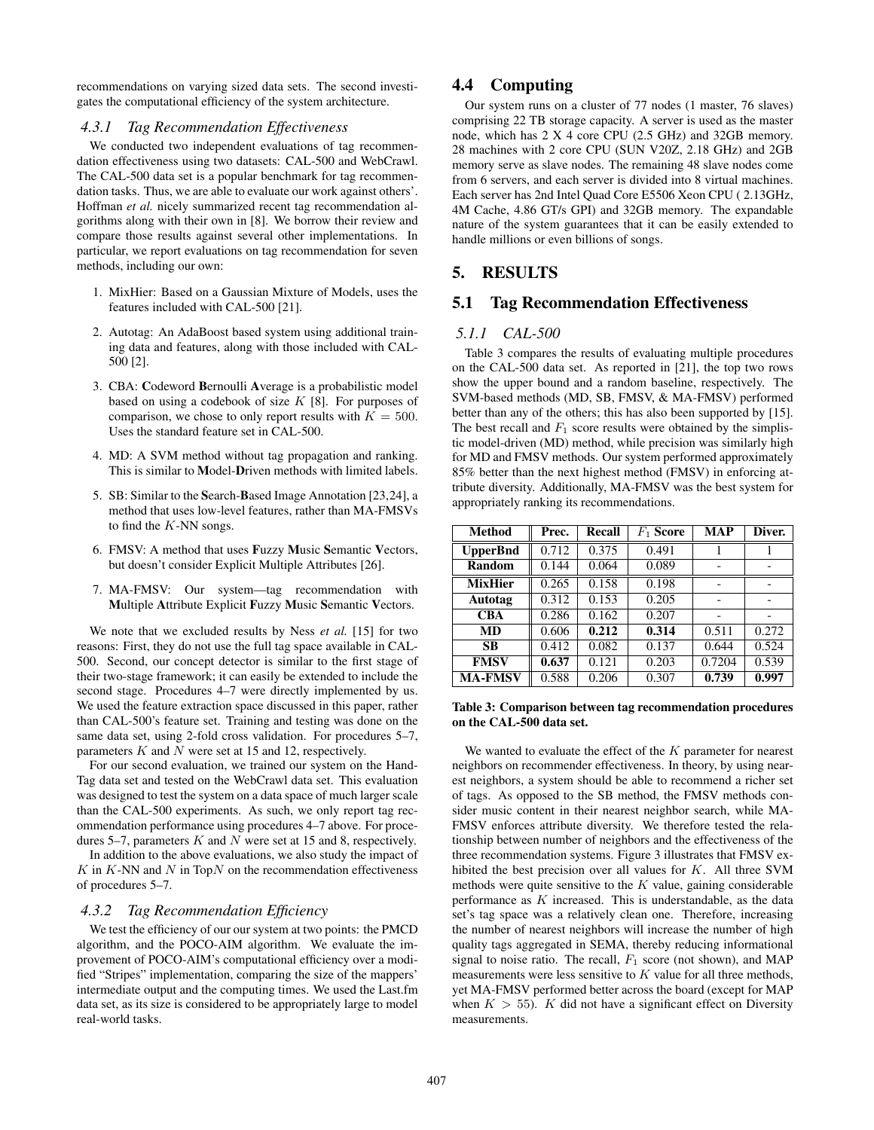recommendations on varying sized data sets. The second investigates the computational efficiency of the system architecture.

#### *4.3.1 Tag Recommendation Effectiveness*

We conducted two independent evaluations of tag recommendation effectiveness using two datasets: CAL-500 and WebCrawl. The CAL-500 data set is a popular benchmark for tag recommendation tasks. Thus, we are able to evaluate our work against others'. Hoffman *et al.* nicely summarized recent tag recommendation algorithms along with their own in [8]. We borrow their review and compare those results against several other implementations. In particular, we report evaluations on tag recommendation for seven methods, including our own:

- 1. MixHier: Based on a Gaussian Mixture of Models, uses the features included with CAL-500 [21].
- 2. Autotag: An AdaBoost based system using additional training data and features, along with those included with CAL-500 [2].
- 3. CBA: **C**odeword **B**ernoulli **A**verage is a probabilistic model based on using a codebook of size  $K$  [8]. For purposes of comparison, we chose to only report results with  $K = 500$ . Uses the standard feature set in CAL-500.
- 4. MD: A SVM method without tag propagation and ranking. This is similar to **M**odel-**D**riven methods with limited labels.
- 5. SB: Similar to the **S**earch-**B**ased Image Annotation [23,24], a method that uses low-level features, rather than MA-FMSVs to find the  $K$ -NN songs.
- 6. FMSV: A method that uses **F**uzzy **M**usic **S**emantic **V**ectors, but doesn't consider Explicit Multiple Attributes [26].
- 7. MA-FMSV: Our system—tag recommendation with **M**ultiple **A**ttribute Explicit **F**uzzy **M**usic **S**emantic **V**ectors.

We note that we excluded results by Ness *et al.* [15] for two reasons: First, they do not use the full tag space available in CAL-500. Second, our concept detector is similar to the first stage of their two-stage framework; it can easily be extended to include the second stage. Procedures 4–7 were directly implemented by us. We used the feature extraction space discussed in this paper, rather than CAL-500's feature set. Training and testing was done on the same data set, using 2-fold cross validation. For procedures 5–7, parameters K and N were set at 15 and 12, respectively.

For our second evaluation, we trained our system on the Hand-Tag data set and tested on the WebCrawl data set. This evaluation was designed to test the system on a data space of much larger scale than the CAL-500 experiments. As such, we only report tag recommendation performance using procedures 4–7 above. For procedures 5–7, parameters  $K$  and  $N$  were set at 15 and 8, respectively.

In addition to the above evaluations, we also study the impact of  $K$  in  $K$ -NN and  $N$  in Top $N$  on the recommendation effectiveness of procedures 5–7.

# *4.3.2 Tag Recommendation Efficiency*

We test the efficiency of our our system at two points: the PMCD algorithm, and the POCO-AIM algorithm. We evaluate the improvement of POCO-AIM's computational efficiency over a modified "Stripes" implementation, comparing the size of the mappers' intermediate output and the computing times. We used the Last.fm data set, as its size is considered to be appropriately large to model real-world tasks.

# **4.4 Computing**

Our system runs on a cluster of 77 nodes (1 master, 76 slaves) comprising 22 TB storage capacity. A server is used as the master node, which has 2 X 4 core CPU (2.5 GHz) and 32GB memory. 28 machines with 2 core CPU (SUN V20Z, 2.18 GHz) and 2GB memory serve as slave nodes. The remaining 48 slave nodes come from 6 servers, and each server is divided into 8 virtual machines. Each server has 2nd Intel Quad Core E5506 Xeon CPU ( 2.13GHz, 4M Cache, 4.86 GT/s GPI) and 32GB memory. The expandable nature of the system guarantees that it can be easily extended to handle millions or even billions of songs.

# **5. RESULTS**

# **5.1 Tag Recommendation Effectiveness**

#### *5.1.1 CAL-500*

Table 3 compares the results of evaluating multiple procedures on the CAL-500 data set. As reported in [21], the top two rows show the upper bound and a random baseline, respectively. The SVM-based methods (MD, SB, FMSV, & MA-FMSV) performed better than any of the others; this has also been supported by [15]. The best recall and  $F_1$  score results were obtained by the simplistic model-driven (MD) method, while precision was similarly high for MD and FMSV methods. Our system performed approximately 85% better than the next highest method (FMSV) in enforcing attribute diversity. Additionally, MA-FMSV was the best system for appropriately ranking its recommendations.

| <b>Method</b>   | Prec. | Recall | $F_1$ Score | <b>MAP</b>               | Diver. |
|-----------------|-------|--------|-------------|--------------------------|--------|
| <b>UpperBnd</b> | 0.712 | 0.375  | 0.491       |                          |        |
| Random          | 0.144 | 0.064  | 0.089       | ۰                        |        |
| <b>MixHier</b>  | 0.265 | 0.158  | 0.198       |                          |        |
| Autotag         | 0.312 | 0.153  | 0.205       | $\overline{\phantom{a}}$ |        |
| <b>CBA</b>      | 0.286 | 0.162  | 0.207       |                          |        |
| MD              | 0.606 | 0.212  | 0.314       | 0.511                    | 0.272  |
| <b>SB</b>       | 0.412 | 0.082  | 0.137       | 0.644                    | 0.524  |
| <b>FMSV</b>     | 0.637 | 0.121  | 0.203       | 0.7204                   | 0.539  |
| <b>MA-FMSV</b>  | 0.588 | 0.206  | 0.307       | 0.739                    | 0.997  |

#### **Table 3: Comparison between tag recommendation procedures on the CAL-500 data set.**

We wanted to evaluate the effect of the  $K$  parameter for nearest neighbors on recommender effectiveness. In theory, by using nearest neighbors, a system should be able to recommend a richer set of tags. As opposed to the SB method, the FMSV methods consider music content in their nearest neighbor search, while MA-FMSV enforces attribute diversity. We therefore tested the relationship between number of neighbors and the effectiveness of the three recommendation systems. Figure 3 illustrates that FMSV exhibited the best precision over all values for K. All three SVM methods were quite sensitive to the  $K$  value, gaining considerable performance as  $K$  increased. This is understandable, as the data set's tag space was a relatively clean one. Therefore, increasing the number of nearest neighbors will increase the number of high quality tags aggregated in SEMA, thereby reducing informational signal to noise ratio. The recall,  $F_1$  score (not shown), and MAP measurements were less sensitive to  $K$  value for all three methods, yet MA-FMSV performed better across the board (except for MAP when  $K > 55$ ). K did not have a significant effect on Diversity measurements.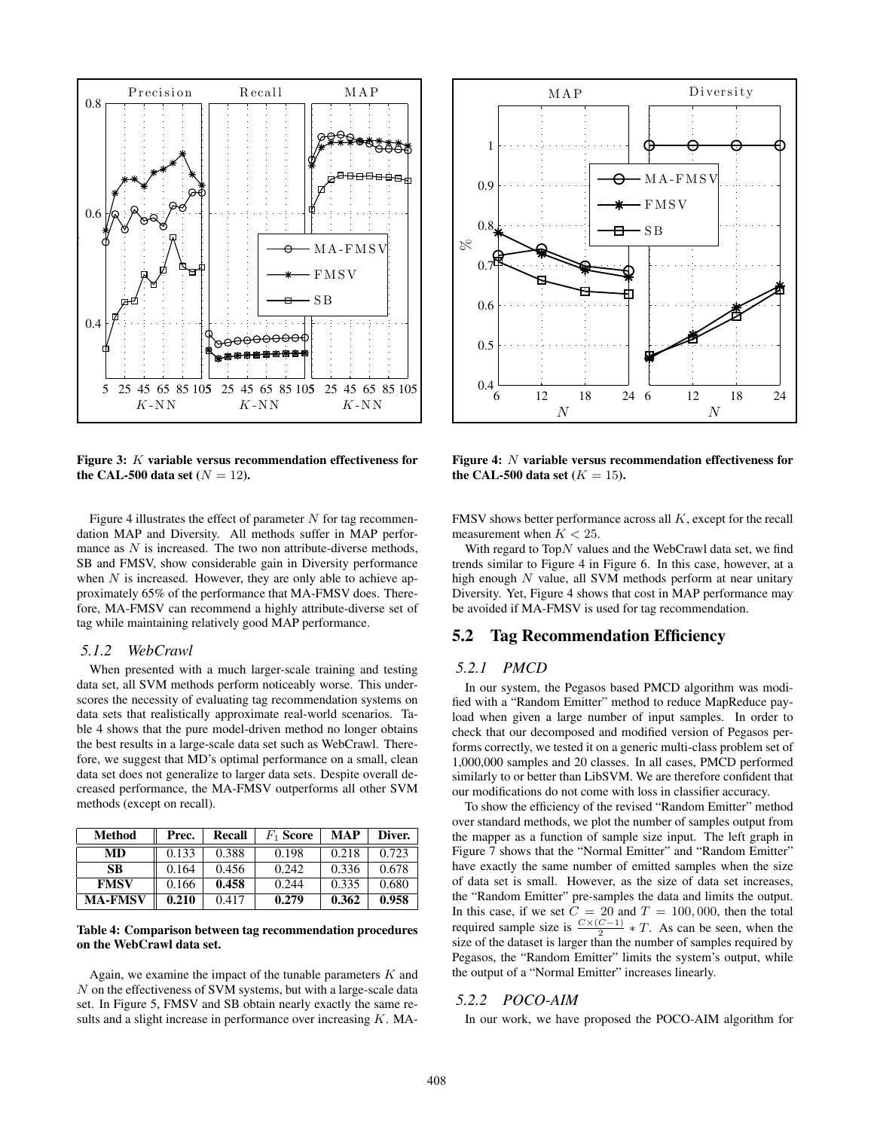

**Figure 3:** K **variable versus recommendation effectiveness for the CAL-500 data set**  $(N = 12)$ .

Figure 4 illustrates the effect of parameter  $N$  for tag recommendation MAP and Diversity. All methods suffer in MAP performance as  $N$  is increased. The two non attribute-diverse methods, SB and FMSV, show considerable gain in Diversity performance when  $N$  is increased. However, they are only able to achieve approximately 65% of the performance that MA-FMSV does. Therefore, MA-FMSV can recommend a highly attribute-diverse set of tag while maintaining relatively good MAP performance.

#### *5.1.2 WebCrawl*

When presented with a much larger-scale training and testing data set, all SVM methods perform noticeably worse. This underscores the necessity of evaluating tag recommendation systems on data sets that realistically approximate real-world scenarios. Table 4 shows that the pure model-driven method no longer obtains the best results in a large-scale data set such as WebCrawl. Therefore, we suggest that MD's optimal performance on a small, clean data set does not generalize to larger data sets. Despite overall decreased performance, the MA-FMSV outperforms all other SVM methods (except on recall).

| Method         | Prec. | Recall | $F_1$ Score | <b>MAP</b> | Diver. |
|----------------|-------|--------|-------------|------------|--------|
| MD             | 0.133 | 0.388  | 0.198       | 0.218      | 0.723  |
| SВ             | 0.164 | 0.456  | 0.242       | 0.336      | 0.678  |
| <b>FMSV</b>    | 0.166 | 0.458  | 0.244       | 0.335      | 0.680  |
| <b>MA-FMSV</b> | 0.210 | 0.417  | 0.279       | 0.362      | 0.958  |

#### **Table 4: Comparison between tag recommendation procedures on the WebCrawl data set.**

Again, we examine the impact of the tunable parameters  $K$  and N on the effectiveness of SVM systems, but with a large-scale data set. In Figure 5, FMSV and SB obtain nearly exactly the same results and a slight increase in performance over increasing  $K$ . MA-



**Figure 4:** N **variable versus recommendation effectiveness for the CAL-500 data set**  $(K = 15)$ .

FMSV shows better performance across all K, except for the recall measurement when  $K < 25$ .

With regard to  $TopN$  values and the WebCrawl data set, we find trends similar to Figure 4 in Figure 6. In this case, however, at a high enough  $N$  value, all SVM methods perform at near unitary Diversity. Yet, Figure 4 shows that cost in MAP performance may be avoided if MA-FMSV is used for tag recommendation.

# **5.2 Tag Recommendation Efficiency**

#### *5.2.1 PMCD*

In our system, the Pegasos based PMCD algorithm was modified with a "Random Emitter" method to reduce MapReduce payload when given a large number of input samples. In order to check that our decomposed and modified version of Pegasos performs correctly, we tested it on a generic multi-class problem set of 1,000,000 samples and 20 classes. In all cases, PMCD performed similarly to or better than LibSVM. We are therefore confident that our modifications do not come with loss in classifier accuracy.

To show the efficiency of the revised "Random Emitter" method over standard methods, we plot the number of samples output from the mapper as a function of sample size input. The left graph in Figure 7 shows that the "Normal Emitter" and "Random Emitter" have exactly the same number of emitted samples when the size of data set is small. However, as the size of data set increases, the "Random Emitter" pre-samples the data and limits the output. In this case, if we set  $C = 20$  and  $T = 100,000$ , then the total required sample size is  $\frac{C \times (C-1)}{2} * T$ . As can be seen, when the size of the dataset is larger than the number of samples required by Pegasos, the "Random Emitter" limits the system's output, while the output of a "Normal Emitter" increases linearly.

#### *5.2.2 POCO-AIM*

In our work, we have proposed the POCO-AIM algorithm for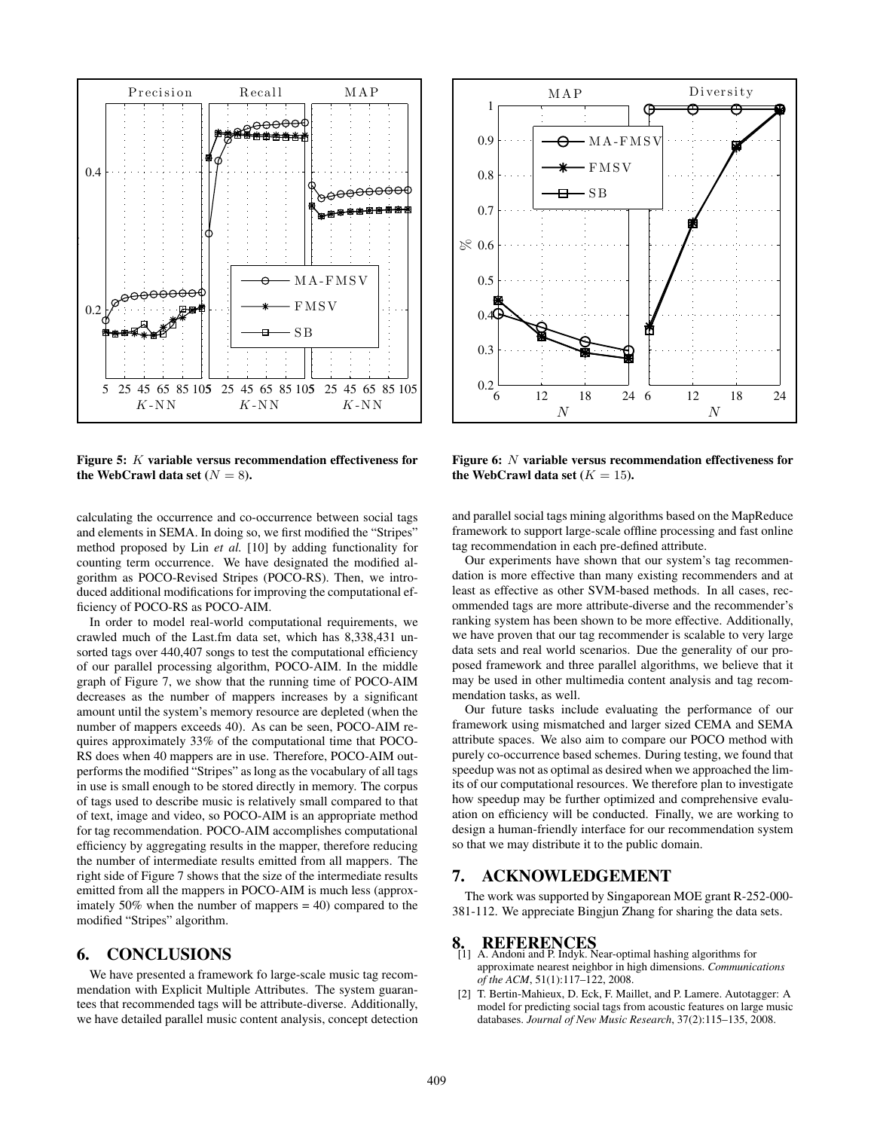

**Figure 5:** K **variable versus recommendation effectiveness for the WebCrawl data set**  $(N = 8)$ .

calculating the occurrence and co-occurrence between social tags and elements in SEMA. In doing so, we first modified the "Stripes" method proposed by Lin *et al.* [10] by adding functionality for counting term occurrence. We have designated the modified algorithm as POCO-Revised Stripes (POCO-RS). Then, we introduced additional modifications for improving the computational efficiency of POCO-RS as POCO-AIM.

In order to model real-world computational requirements, we crawled much of the Last.fm data set, which has 8,338,431 unsorted tags over 440,407 songs to test the computational efficiency of our parallel processing algorithm, POCO-AIM. In the middle graph of Figure 7, we show that the running time of POCO-AIM decreases as the number of mappers increases by a significant amount until the system's memory resource are depleted (when the number of mappers exceeds 40). As can be seen, POCO-AIM requires approximately 33% of the computational time that POCO-RS does when 40 mappers are in use. Therefore, POCO-AIM outperforms the modified "Stripes" as long as the vocabulary of all tags in use is small enough to be stored directly in memory. The corpus of tags used to describe music is relatively small compared to that of text, image and video, so POCO-AIM is an appropriate method for tag recommendation. POCO-AIM accomplishes computational efficiency by aggregating results in the mapper, therefore reducing the number of intermediate results emitted from all mappers. The right side of Figure 7 shows that the size of the intermediate results emitted from all the mappers in POCO-AIM is much less (approximately  $50\%$  when the number of mappers = 40) compared to the modified "Stripes" algorithm.

# **6. CONCLUSIONS**

We have presented a framework fo large-scale music tag recommendation with Explicit Multiple Attributes. The system guarantees that recommended tags will be attribute-diverse. Additionally, we have detailed parallel music content analysis, concept detection



**Figure 6:** N **variable versus recommendation effectiveness for the WebCrawl data set**  $(K = 15)$ .

and parallel social tags mining algorithms based on the MapReduce framework to support large-scale offline processing and fast online tag recommendation in each pre-defined attribute.

Our experiments have shown that our system's tag recommendation is more effective than many existing recommenders and at least as effective as other SVM-based methods. In all cases, recommended tags are more attribute-diverse and the recommender's ranking system has been shown to be more effective. Additionally, we have proven that our tag recommender is scalable to very large data sets and real world scenarios. Due the generality of our proposed framework and three parallel algorithms, we believe that it may be used in other multimedia content analysis and tag recommendation tasks, as well.

Our future tasks include evaluating the performance of our framework using mismatched and larger sized CEMA and SEMA attribute spaces. We also aim to compare our POCO method with purely co-occurrence based schemes. During testing, we found that speedup was not as optimal as desired when we approached the limits of our computational resources. We therefore plan to investigate how speedup may be further optimized and comprehensive evaluation on efficiency will be conducted. Finally, we are working to design a human-friendly interface for our recommendation system so that we may distribute it to the public domain.

# **7. ACKNOWLEDGEMENT**

The work was supported by Singaporean MOE grant R-252-000- 381-112. We appreciate Bingjun Zhang for sharing the data sets.

- **8. REFERENCES** [1] A. Andoni and P. Indyk. Near-optimal hashing algorithms for approximate nearest neighbor in high dimensions. *Communications of the ACM*, 51(1):117–122, 2008.
- [2] T. Bertin-Mahieux, D. Eck, F. Maillet, and P. Lamere. Autotagger: A model for predicting social tags from acoustic features on large music databases. *Journal of New Music Research*, 37(2):115–135, 2008.